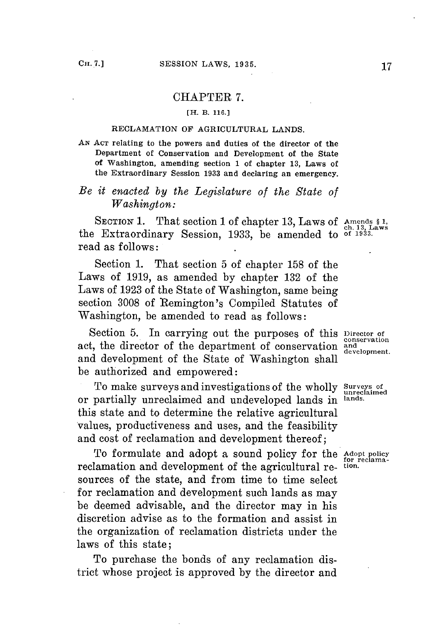### CHAPTER **7.**

#### **[H. B. 116.J**

### **RECLAMATION OF AGRICULTURAL LANDS.**

**AN ACT relating to the powers and duties of the director of the Department of Conservation and Development of the State of Washington, amending section 1 of chapter 13, Laws of the Extraordinary Session 1933 and declaring an emergency.**

## *Be it enacted by the Legislature of the State of Washington:*

SECTION 1. That section 1 of chapter 13, Laws of Amends § 1, the Extraordinary Session, 1933, be amended to <sup>of 1933</sup>. read as follows:

Section **1.** That section **5** of chapter **158** of the Laws of **1919,** as amended **by** chapter **132** of the Laws of **1923** of the State of Washington, same being section **3008** of Remington's Compiled Statutes of Washington, be amended to read as follows:

Section 5. In carrying out the purposes of this **Director** of conservation act, the director of the department of conservation and conservation **development.** and development of the State of Washington shall be authorized and empowered:

To make surveys and investigations of the wholly surveys of<br>partially unreclaimed and undeveloped lands in <sup>lands.</sup> or partially unreclaimed and undeveloped lands in **lands.** this state and to determine the relative agricultural values, productiveness and uses, and the feasibility and cost of reclamation and development thereof;

To formulate and adopt a sound policy for the **Adopt policy for reclama**reclamation and development of the agricultural re- **tion.** sources of the state, and from time to time select for reclamation and development such lands as may be deemed advisable, and the director may in his discretion advise as to the formation and assist in the organization of reclamation districts under the laws of this state;

To purchase the bonds of any reclamation district whose project is approved **by** the director and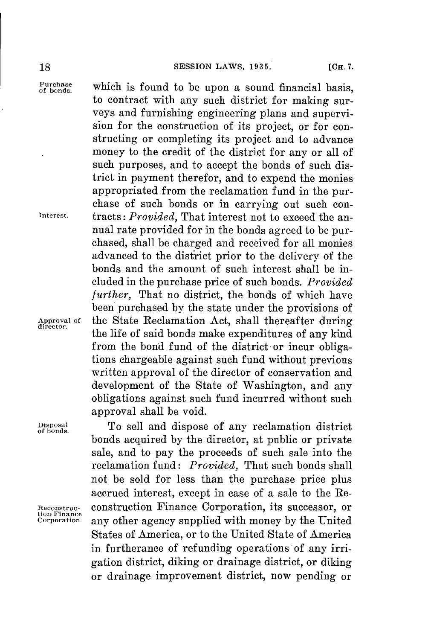Purchase<br>of bonds.

which is found to be upon a sound financial basis, to contract with any such district for making surveys and furnishing engineering plans and supervision for the construction of its project, or for constructing or completing its project and to advance money to the credit of the district for any or all of such purposes, and to accept the bonds of such district in payment therefor, and to expend the monies appropriated from the reclamation fund in the purchase of such bonds or in carrying out such con-**Interest.** tracts: *Provided,* That interest not to exceed the annual rate provided **for** in the bonds agreed to be purchased, shall be charged and received for all monies advanced to the district prior to the delivery of the bonds and the amount of such interest shall be included in the purchase price of such bonds. *Provided further,* That no district, the bonds of which have been purchased **by** the state under the provisions of **Approval of** the State Reclamation Act, shall thereafter during **director.** the life of said bonds make expenditures of any kind from the bond fund of the district or incur obligations chargeable against such fund without previous written approval of the director of conservation and development of the State of Washington, and any obligations against such fund incurred without such approval shall be void.

**Disposal** To sell and dispose of any reclamation district **of bonds.** bonds acquired **by** the director, at public or private sale, and to pay the proceeds of such sale into the reclamation fund: *Provided,* That such bonds shall not be sold for less than the purchase price plus accrued interest, except in case of a sale to the Re-**Reconstruc-** construction Finance Corporation, its successor, or any other agency supplied with money by the United States of America, or to the United State of America in furtherance of refunding operations of any irrigation district, diking or drainage district, or diking or drainage improvement district, now pending or

**tion Finance**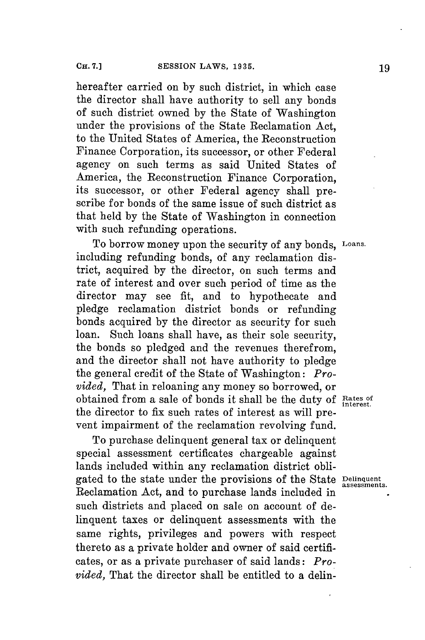hereafter carried on **by** such district, in which case the director shall have authority to sell any bonds of such district owned **by** the State of Washington under the provisions of the State Reclamation Act, to the United States of America, the Reconstruction Finance Corporation, its successor, or other Federal agency on such terms as said United States of America, the Reconstruction Finance Corporation, its successor, or other Federal agency shall prescribe **for** bonds of the same issue of such district as that held **by** the State of Washington in connection with such refunding operations.

To borrow money upon the security of any bonds, **Loans.** including refunding bonds, of any reclamation district, acquired **by** the director, on such terms and rate of interest and over such period of time as the director may see fit, and to hypothecate and pledge reclamation district bonds or refunding bonds acquired **by** the director as security for such loan. Such loans shall have, as their sole security, the bonds so pledged and the revenues therefrom, and the director shall not have authority to pledge the general credit of the State of Washington: *Provided,* That in reloaning any money so borrowed, or obtained from a sale of bonds it shall be the duty of Rates of interest. the director to fix such rates of interest as will prevent impairment of the reclamation revolving fund.

To purchase delinquent general tax or delinquent special assessment certificates chargeable against lands included within any reclamation district obligated to the state under the provisions of the State **Delinquent assessments.** Reclamation Act, and to purchase lands included in such districts and placed on sale on account of delinquent taxes or delinquent assessments with the same rights, privileges and powers with respect thereto as a private holder and owner of said certificates, or as a private purchaser of said lands: *Provided,* That the director shall be entitled to a delin-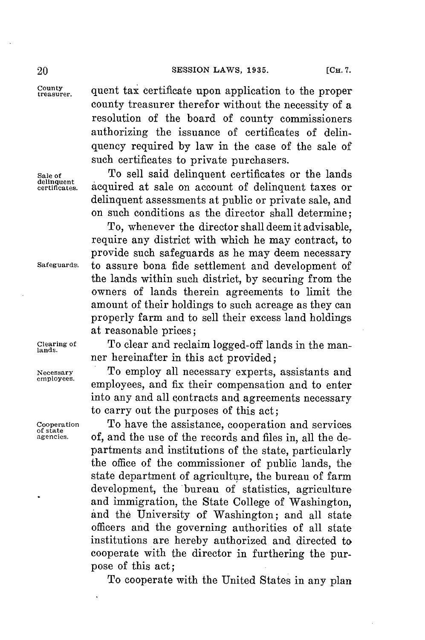**treauer.** quent tax certificate upon application to the proper county treasurer therefor without the necessity of a resolution of the board of county commissioners authorizing the issuance of certificates of delinquency required **by** law in the case of the sale of such certificates to private purchasers.

**Sale of** To sell said delinquent certificates or the lands acquired at sale on account of delinquent taxes or delinquent assessments at public or private sale, and on such conditions as the director shall determine;

To, whenever the director shall deem it advisable, require any district with which he may contract, to provide such safeguards as he may deem necessary **Safeguards.** to assure bona fide settlement and development of the lands within such district, **by** securing from the owners of lands therein agreements to limit the amount of their holdings to such acreage as they can properly farm and to sell their excess land holdings at reasonable prices;

**Clearing of** To clear and reclaim logged-off lands in the man- **lands.** ner hereinafter in this act provided;

Necessary **To employ all necessary experts, assistants and** employees. **employees.** employees, and fix their compensation and to enter into any and all contracts and agreements necessary to carry out the purposes of this act;

Cooperation **Cooperation** To have the assistance, cooperation and services corrections. The state are  $\frac{1}{n}$  and the use of the records and files in all the de of, and the use of the records and files in, all the departments and institutions of the state, particularly the office of the commissioner of public lands, the state department of agriculture, the bureau of farm development, the bureau of statistics, agriculture and immigration, the State College of Washington, and the University of Washington; and all state officers and the governing authorities of all state institutions are hereby authorized and directed to cooperate with the director in furthering the purpose of this act;

To cooperate with the United States in any plan

**delinquent**